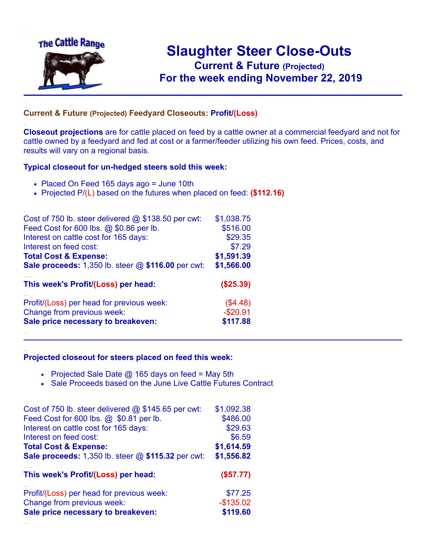

.

..

## **Slaughter Steer Close-Outs Current & Future (Projected)** .**For the week ending November 22, 2019**

## **Current & Future (Projected) Feedyard Closeouts: Profit/(Loss)**

**Closeout projections** are for cattle placed on feed by a cattle owner at a commercial feedyard and not for cattle owned by a feedyard and fed at cost or a farmer/feeder utilizing his own feed. Prices, costs, and results will vary on a regional basis.

## **Typical closeout for un-hedged steers sold this week:**

- Placed On Feed 165 days ago = June 10th
- Projected P/(L) based on the futures when placed on feed: **(\$112.16)**

| Cost of 750 lb. steer delivered $@$ \$138.50 per cwt: | \$1,038.75 |
|-------------------------------------------------------|------------|
| Feed Cost for 600 lbs. @ \$0.86 per lb.               | \$516.00   |
| Interest on cattle cost for 165 days:                 | \$29.35    |
| Interest on feed cost:                                | \$7.29     |
| <b>Total Cost &amp; Expense:</b>                      | \$1,591.39 |
| Sale proceeds: 1,350 lb. steer @ \$116.00 per cwt:    | \$1,566.00 |
| This week's Profit/(Loss) per head:                   | (\$25.39)  |
| Profit/(Loss) per head for previous week:             | (\$4.48)   |
| Change from previous week:                            | $-$20.91$  |
| Sale price necessary to breakeven:                    | \$117.88   |
|                                                       |            |

## **Projected closeout for steers placed on feed this week:**

- Projected Sale Date  $@$  165 days on feed = May 5th
- Sale Proceeds based on the June Live Cattle Futures Contract

| Cost of 750 lb. steer delivered $@$ \$145.65 per cwt:     | \$1,092.38   |
|-----------------------------------------------------------|--------------|
| Feed Cost for 600 lbs. @ \$0.81 per lb.                   | \$486.00     |
| Interest on cattle cost for 165 days:                     | \$29.63      |
| Interest on feed cost:                                    | \$6.59       |
| <b>Total Cost &amp; Expense:</b>                          | \$1,614.59   |
| <b>Sale proceeds:</b> 1,350 lb. steer @ \$115.32 per cwt: | \$1,556.82   |
|                                                           |              |
| This week's Profit/(Loss) per head:                       | (\$57.77)    |
| Profit/(Loss) per head for previous week:                 | \$77.25      |
| Change from previous week:                                | $-$ \$135.02 |
| Sale price necessary to breakeven:                        | \$119.60     |